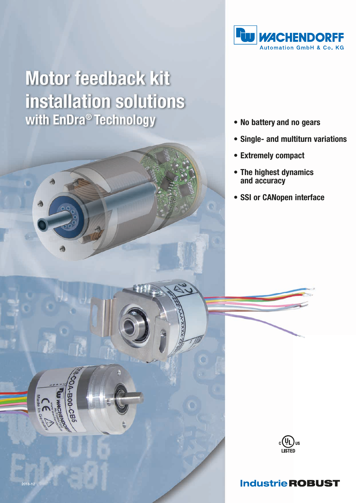

# Motor feedback kit installation solutions with EnDra<sup>®</sup> Technology



- Single- and multiturn variations
- Extremely compact
- The highest dynamics and accuracy
- SSI or CANopen interface



## **Industrie ROBUST**